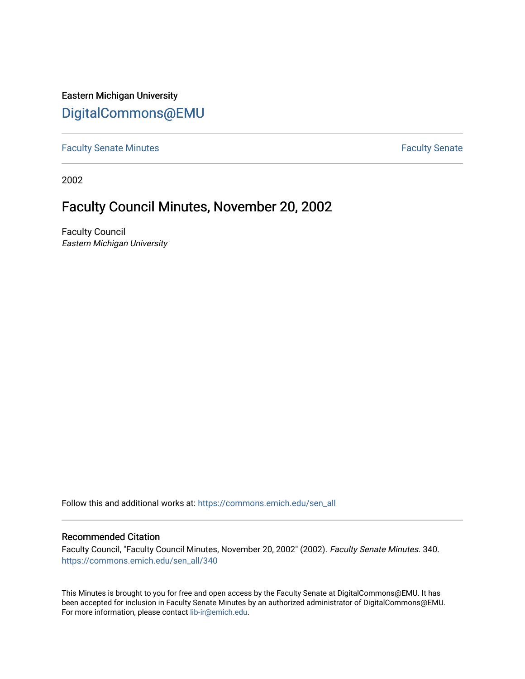Eastern Michigan University [DigitalCommons@EMU](https://commons.emich.edu/) 

[Faculty Senate Minutes](https://commons.emich.edu/sen_all) **Faculty** Senate Minutes

2002

## Faculty Council Minutes, November 20, 2002

Faculty Council Eastern Michigan University

Follow this and additional works at: [https://commons.emich.edu/sen\\_all](https://commons.emich.edu/sen_all?utm_source=commons.emich.edu%2Fsen_all%2F340&utm_medium=PDF&utm_campaign=PDFCoverPages) 

## Recommended Citation

Faculty Council, "Faculty Council Minutes, November 20, 2002" (2002). Faculty Senate Minutes. 340. [https://commons.emich.edu/sen\\_all/340](https://commons.emich.edu/sen_all/340?utm_source=commons.emich.edu%2Fsen_all%2F340&utm_medium=PDF&utm_campaign=PDFCoverPages) 

This Minutes is brought to you for free and open access by the Faculty Senate at DigitalCommons@EMU. It has been accepted for inclusion in Faculty Senate Minutes by an authorized administrator of DigitalCommons@EMU. For more information, please contact [lib-ir@emich.edu.](mailto:lib-ir@emich.edu)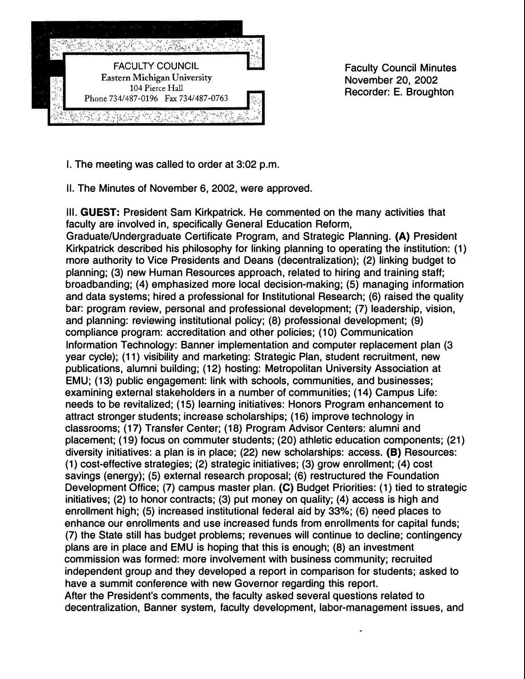

Faculty Council Minutes November 20, 2002 Recorder: E. Broughton

I. The meeting was called to order at 3:02 p.m.

II. The Minutes of November 6, 2002, were approved.

Ill. **GUEST:** President Sam Kirkpatrick. He commented on the many activities that faculty are involved in, specifically General Education Reform, Graduate/Undergraduate Certificate Program, and Strategic Planning. **(A)** President Kirkpatrick described his philosophy for linking planning to operating the institution: (1) more authority to Vice Presidents and Deans (decentralization); (2) linking budget to planning; (3) new Human Resources approach, related to hiring and training staff; broadbanding; (4) emphasized more local decision-making; (5) managing information and data systems; hired a professional for Institutional Research; (6) raised the quality bar: program review, personal and professional development; (7) leadership, vision, and planning: reviewing institutional policy; (8) professional development; (9) compliance program: accreditation and other policies; (10) Communication Information Technology: Banner implementation and computer replacement plan (3 year cycle); (11) visibility and marketing: Strategic Plan, student recruitment, new publications, alumni building; (12) hosting: Metropolitan University Association at EMU; (13) public engagement: link with schools, communities, and businesses; examining external stakeholders in a number of communities; (14) Campus Life: needs to be revitalized; (15) learning initiatives: Honors Program enhancement to attract stronger students; increase scholarships; (16) improve technology in classrooms; (17) Transfer Center; (18) Program Advisor Centers: alumni and placement; (19) focus on commuter students; (20) athletic education components; (21) diversity initiatives: a plan is in place; (22) new scholarships: access. **(B)** Resources: (1) cost-effective strategies; (2) strategic initiatives; (3) grow enrollment; (4) cost savings (energy); (5) external research proposal; (6) restructured the Foundation Development Office; (7) campus master plan. (C) Budget Priorities: (1) tied to strategic initiatives; (2) to honor contracts; (3) put money on quality; (4) access is high and enrollment high; (5) increased institutional federal aid by 33%; (6) need places to enhance our enrollments and use increased funds from enrollments for capital funds; (7) the State still has budget problems; revenues will continue to decline; contingency plans are in place and EMU is hoping that this is enough; (8) an investment commission was formed: more involvement with business community; recruited independent group and they developed a report in comparison for students; asked to have a summit conference with new Governor regarding this report. After the President's comments, the faculty asked several questions related to decentralization, Banner system, faculty development, labor-management issues, and